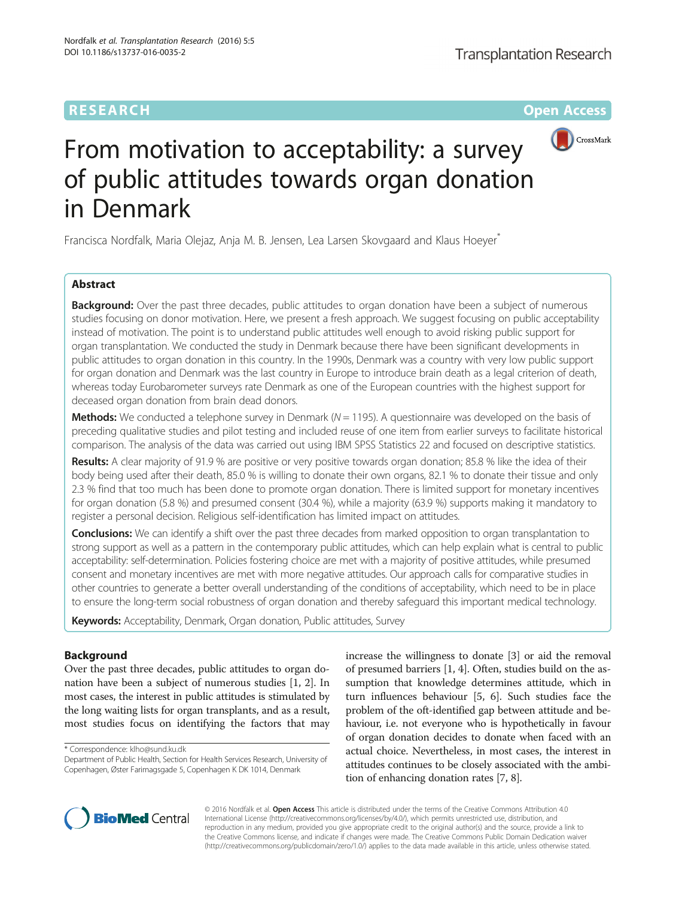# **RESEARCH CHE Open Access**



# From motivation to acceptability: a survey of public attitudes towards organ donation in Denmark

Francisca Nordfalk, Maria Olejaz, Anja M. B. Jensen, Lea Larsen Skovgaard and Klaus Hoeyer<sup>\*</sup>

## Abstract

**Background:** Over the past three decades, public attitudes to organ donation have been a subject of numerous studies focusing on donor motivation. Here, we present a fresh approach. We suggest focusing on public acceptability instead of motivation. The point is to understand public attitudes well enough to avoid risking public support for organ transplantation. We conducted the study in Denmark because there have been significant developments in public attitudes to organ donation in this country. In the 1990s, Denmark was a country with very low public support for organ donation and Denmark was the last country in Europe to introduce brain death as a legal criterion of death, whereas today Eurobarometer surveys rate Denmark as one of the European countries with the highest support for deceased organ donation from brain dead donors.

**Methods:** We conducted a telephone survey in Denmark ( $N = 1195$ ). A questionnaire was developed on the basis of preceding qualitative studies and pilot testing and included reuse of one item from earlier surveys to facilitate historical comparison. The analysis of the data was carried out using IBM SPSS Statistics 22 and focused on descriptive statistics.

Results: A clear majority of 91.9 % are positive or very positive towards organ donation; 85.8 % like the idea of their body being used after their death, 85.0 % is willing to donate their own organs, 82.1 % to donate their tissue and only 2.3 % find that too much has been done to promote organ donation. There is limited support for monetary incentives for organ donation (5.8 %) and presumed consent (30.4 %), while a majority (63.9 %) supports making it mandatory to register a personal decision. Religious self-identification has limited impact on attitudes.

Conclusions: We can identify a shift over the past three decades from marked opposition to organ transplantation to strong support as well as a pattern in the contemporary public attitudes, which can help explain what is central to public acceptability: self-determination. Policies fostering choice are met with a majority of positive attitudes, while presumed consent and monetary incentives are met with more negative attitudes. Our approach calls for comparative studies in other countries to generate a better overall understanding of the conditions of acceptability, which need to be in place to ensure the long-term social robustness of organ donation and thereby safeguard this important medical technology.

Keywords: Acceptability, Denmark, Organ donation, Public attitudes, Survey

# Background

Over the past three decades, public attitudes to organ donation have been a subject of numerous studies [\[1](#page-6-0), [2](#page-6-0)]. In most cases, the interest in public attitudes is stimulated by the long waiting lists for organ transplants, and as a result, most studies focus on identifying the factors that may

\* Correspondence: [klho@sund.ku.dk](mailto:klho@sund.ku.dk)

Department of Public Health, Section for Health Services Research, University of Copenhagen, Øster Farimagsgade 5, Copenhagen K DK 1014, Denmark

increase the willingness to donate [\[3](#page-6-0)] or aid the removal of presumed barriers [\[1](#page-6-0), [4\]](#page-6-0). Often, studies build on the assumption that knowledge determines attitude, which in turn influences behaviour [\[5](#page-6-0), [6](#page-6-0)]. Such studies face the problem of the oft-identified gap between attitude and behaviour, i.e. not everyone who is hypothetically in favour of organ donation decides to donate when faced with an actual choice. Nevertheless, in most cases, the interest in attitudes continues to be closely associated with the ambition of enhancing donation rates [[7](#page-6-0), [8](#page-6-0)].



© 2016 Nordfalk et al. Open Access This article is distributed under the terms of the Creative Commons Attribution 4.0 International License [\(http://creativecommons.org/licenses/by/4.0/](http://creativecommons.org/licenses/by/4.0/)), which permits unrestricted use, distribution, and reproduction in any medium, provided you give appropriate credit to the original author(s) and the source, provide a link to the Creative Commons license, and indicate if changes were made. The Creative Commons Public Domain Dedication waiver [\(http://creativecommons.org/publicdomain/zero/1.0/](http://creativecommons.org/publicdomain/zero/1.0/)) applies to the data made available in this article, unless otherwise stated.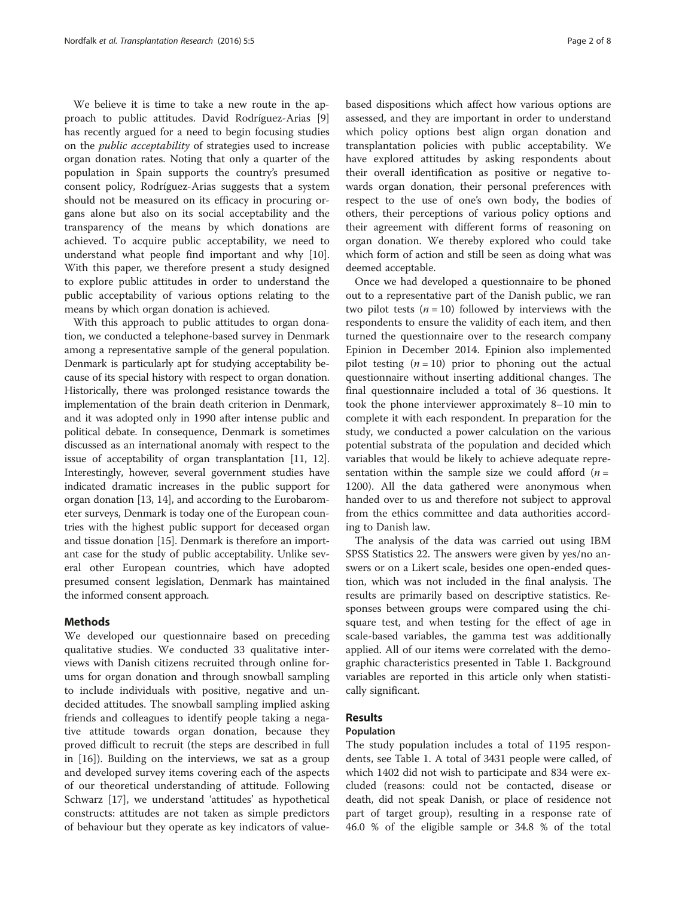We believe it is time to take a new route in the approach to public attitudes. David Rodríguez-Arias [\[9](#page-6-0)] has recently argued for a need to begin focusing studies on the public acceptability of strategies used to increase organ donation rates. Noting that only a quarter of the population in Spain supports the country's presumed consent policy, Rodríguez-Arias suggests that a system should not be measured on its efficacy in procuring organs alone but also on its social acceptability and the transparency of the means by which donations are achieved. To acquire public acceptability, we need to understand what people find important and why [\[10](#page-6-0)]. With this paper, we therefore present a study designed to explore public attitudes in order to understand the public acceptability of various options relating to the means by which organ donation is achieved.

With this approach to public attitudes to organ donation, we conducted a telephone-based survey in Denmark among a representative sample of the general population. Denmark is particularly apt for studying acceptability because of its special history with respect to organ donation. Historically, there was prolonged resistance towards the implementation of the brain death criterion in Denmark, and it was adopted only in 1990 after intense public and political debate. In consequence, Denmark is sometimes discussed as an international anomaly with respect to the issue of acceptability of organ transplantation [[11](#page-6-0), [12](#page-6-0)]. Interestingly, however, several government studies have indicated dramatic increases in the public support for organ donation [[13,](#page-6-0) [14](#page-7-0)], and according to the Eurobarometer surveys, Denmark is today one of the European countries with the highest public support for deceased organ and tissue donation [\[15\]](#page-7-0). Denmark is therefore an important case for the study of public acceptability. Unlike several other European countries, which have adopted presumed consent legislation, Denmark has maintained the informed consent approach.

#### Methods

We developed our questionnaire based on preceding qualitative studies. We conducted 33 qualitative interviews with Danish citizens recruited through online forums for organ donation and through snowball sampling to include individuals with positive, negative and undecided attitudes. The snowball sampling implied asking friends and colleagues to identify people taking a negative attitude towards organ donation, because they proved difficult to recruit (the steps are described in full in [\[16](#page-7-0)]). Building on the interviews, we sat as a group and developed survey items covering each of the aspects of our theoretical understanding of attitude. Following Schwarz [\[17](#page-7-0)], we understand 'attitudes' as hypothetical constructs: attitudes are not taken as simple predictors of behaviour but they operate as key indicators of valuebased dispositions which affect how various options are assessed, and they are important in order to understand which policy options best align organ donation and transplantation policies with public acceptability. We have explored attitudes by asking respondents about their overall identification as positive or negative towards organ donation, their personal preferences with respect to the use of one's own body, the bodies of others, their perceptions of various policy options and their agreement with different forms of reasoning on organ donation. We thereby explored who could take which form of action and still be seen as doing what was deemed acceptable.

Once we had developed a questionnaire to be phoned out to a representative part of the Danish public, we ran two pilot tests  $(n = 10)$  followed by interviews with the respondents to ensure the validity of each item, and then turned the questionnaire over to the research company Epinion in December 2014. Epinion also implemented pilot testing  $(n = 10)$  prior to phoning out the actual questionnaire without inserting additional changes. The final questionnaire included a total of 36 questions. It took the phone interviewer approximately 8–10 min to complete it with each respondent. In preparation for the study, we conducted a power calculation on the various potential substrata of the population and decided which variables that would be likely to achieve adequate representation within the sample size we could afford  $(n =$ 1200). All the data gathered were anonymous when handed over to us and therefore not subject to approval from the ethics committee and data authorities according to Danish law.

The analysis of the data was carried out using IBM SPSS Statistics 22. The answers were given by yes/no answers or on a Likert scale, besides one open-ended question, which was not included in the final analysis. The results are primarily based on descriptive statistics. Responses between groups were compared using the chisquare test, and when testing for the effect of age in scale-based variables, the gamma test was additionally applied. All of our items were correlated with the demographic characteristics presented in Table [1](#page-2-0). Background variables are reported in this article only when statistically significant.

#### Results

#### Population

The study population includes a total of 1195 respondents, see Table [1.](#page-2-0) A total of 3431 people were called, of which 1402 did not wish to participate and 834 were excluded (reasons: could not be contacted, disease or death, did not speak Danish, or place of residence not part of target group), resulting in a response rate of 46.0 % of the eligible sample or 34.8 % of the total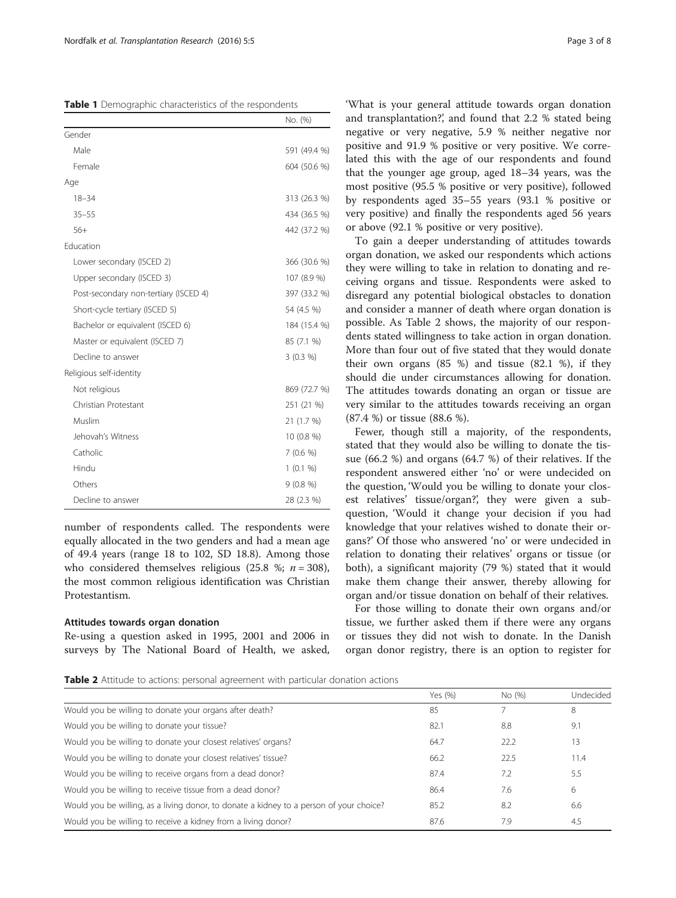<span id="page-2-0"></span>Table 1 Demographic characteristics of the respondents

|                                       | No. (%)      |
|---------------------------------------|--------------|
| Gender                                |              |
| Male                                  | 591 (49.4 %) |
| Female                                | 604 (50.6 %) |
| Age                                   |              |
| $18 - 34$                             | 313 (26.3 %) |
| $35 - 55$                             | 434 (36.5 %) |
| $56+$                                 | 442 (37.2 %) |
| Education                             |              |
| Lower secondary (ISCED 2)             | 366 (30.6 %) |
| Upper secondary (ISCED 3)             | 107 (8.9 %)  |
| Post-secondary non-tertiary (ISCED 4) | 397 (33.2 %) |
| Short-cycle tertiary (ISCED 5)        | 54 (4.5 %)   |
| Bachelor or equivalent (ISCED 6)      | 184 (15.4 %) |
| Master or equivalent (ISCED 7)        | 85 (7.1 %)   |
| Decline to answer                     | 3(0.3%)      |
| Religious self-identity               |              |
| Not religious                         | 869 (72.7 %) |
| Christian Protestant                  | 251 (21 %)   |
| Muslim                                | 21 (1.7 %)   |
| Jehovah's Witness                     | 10 (0.8 %)   |
| Catholic                              | 7(0.6%       |
| Hindu                                 | $1(0.1\%)$   |
| Others                                | $9(0.8\%)$   |
| Decline to answer                     | 28 (2.3 %)   |

number of respondents called. The respondents were equally allocated in the two genders and had a mean age of 49.4 years (range 18 to 102, SD 18.8). Among those who considered themselves religious (25.8 %;  $n = 308$ ), the most common religious identification was Christian Protestantism.

#### Attitudes towards organ donation

Re-using a question asked in 1995, 2001 and 2006 in surveys by The National Board of Health, we asked, 'What is your general attitude towards organ donation and transplantation?', and found that 2.2 % stated being negative or very negative, 5.9 % neither negative nor positive and 91.9 % positive or very positive. We correlated this with the age of our respondents and found that the younger age group, aged 18–34 years, was the most positive (95.5 % positive or very positive), followed by respondents aged 35–55 years (93.1 % positive or very positive) and finally the respondents aged 56 years or above (92.1 % positive or very positive).

To gain a deeper understanding of attitudes towards organ donation, we asked our respondents which actions they were willing to take in relation to donating and receiving organs and tissue. Respondents were asked to disregard any potential biological obstacles to donation and consider a manner of death where organ donation is possible. As Table 2 shows, the majority of our respondents stated willingness to take action in organ donation. More than four out of five stated that they would donate their own organs (85 %) and tissue (82.1 %), if they should die under circumstances allowing for donation. The attitudes towards donating an organ or tissue are very similar to the attitudes towards receiving an organ (87.4 %) or tissue (88.6 %).

Fewer, though still a majority, of the respondents, stated that they would also be willing to donate the tissue (66.2 %) and organs (64.7 %) of their relatives. If the respondent answered either 'no' or were undecided on the question, 'Would you be willing to donate your closest relatives' tissue/organ?', they were given a subquestion, 'Would it change your decision if you had knowledge that your relatives wished to donate their organs?' Of those who answered 'no' or were undecided in relation to donating their relatives' organs or tissue (or both), a significant majority (79 %) stated that it would make them change their answer, thereby allowing for organ and/or tissue donation on behalf of their relatives.

For those willing to donate their own organs and/or tissue, we further asked them if there were any organs or tissues they did not wish to donate. In the Danish organ donor registry, there is an option to register for

Table 2 Attitude to actions: personal agreement with particular donation actions

|                                                                                         | Yes (%) | No (%) | Undecided |
|-----------------------------------------------------------------------------------------|---------|--------|-----------|
| Would you be willing to donate your organs after death?                                 | 85      |        | 8         |
| Would you be willing to donate your tissue?                                             | 82.1    | 8.8    | 9.1       |
| Would you be willing to donate your closest relatives' organs?                          | 64.7    | 22.2   | 13        |
| Would you be willing to donate your closest relatives' tissue?                          | 66.2    | 22.5   | 11.4      |
| Would you be willing to receive organs from a dead donor?                               | 87.4    | 7.2    | 5.5       |
| Would you be willing to receive tissue from a dead donor?                               | 86.4    | 7.6    | 6         |
| Would you be willing, as a living donor, to donate a kidney to a person of your choice? | 85.2    | 8.2    | 6.6       |
| Would you be willing to receive a kidney from a living donor?                           | 87.6    | 7.9    | 4.5       |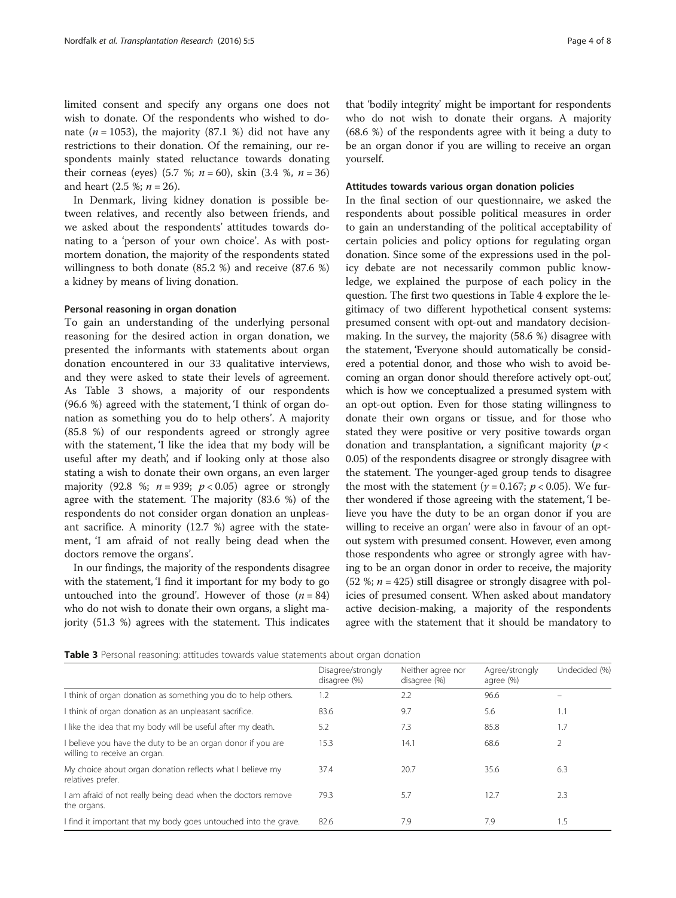limited consent and specify any organs one does not wish to donate. Of the respondents who wished to donate ( $n = 1053$ ), the majority (87.1 %) did not have any restrictions to their donation. Of the remaining, our respondents mainly stated reluctance towards donating their corneas (eyes) (5.7 %;  $n = 60$ ), skin (3.4 %,  $n = 36$ ) and heart  $(2.5 %; n = 26)$ .

In Denmark, living kidney donation is possible between relatives, and recently also between friends, and we asked about the respondents' attitudes towards donating to a 'person of your own choice'. As with postmortem donation, the majority of the respondents stated willingness to both donate (85.2 %) and receive (87.6 %) a kidney by means of living donation.

#### Personal reasoning in organ donation

To gain an understanding of the underlying personal reasoning for the desired action in organ donation, we presented the informants with statements about organ donation encountered in our 33 qualitative interviews, and they were asked to state their levels of agreement. As Table 3 shows, a majority of our respondents (96.6 %) agreed with the statement, 'I think of organ donation as something you do to help others'. A majority (85.8 %) of our respondents agreed or strongly agree with the statement, 'I like the idea that my body will be useful after my death', and if looking only at those also stating a wish to donate their own organs, an even larger majority (92.8 %;  $n = 939$ ;  $p < 0.05$ ) agree or strongly agree with the statement. The majority (83.6 %) of the respondents do not consider organ donation an unpleasant sacrifice. A minority (12.7 %) agree with the statement, 'I am afraid of not really being dead when the doctors remove the organs'.

In our findings, the majority of the respondents disagree with the statement, 'I find it important for my body to go untouched into the ground'. However of those  $(n = 84)$ who do not wish to donate their own organs, a slight majority (51.3 %) agrees with the statement. This indicates

that 'bodily integrity' might be important for respondents who do not wish to donate their organs. A majority (68.6 %) of the respondents agree with it being a duty to be an organ donor if you are willing to receive an organ yourself.

#### Attitudes towards various organ donation policies

In the final section of our questionnaire, we asked the respondents about possible political measures in order to gain an understanding of the political acceptability of certain policies and policy options for regulating organ donation. Since some of the expressions used in the policy debate are not necessarily common public knowledge, we explained the purpose of each policy in the question. The first two questions in Table [4](#page-4-0) explore the legitimacy of two different hypothetical consent systems: presumed consent with opt-out and mandatory decisionmaking. In the survey, the majority (58.6 %) disagree with the statement, 'Everyone should automatically be considered a potential donor, and those who wish to avoid becoming an organ donor should therefore actively opt-out', which is how we conceptualized a presumed system with an opt-out option. Even for those stating willingness to donate their own organs or tissue, and for those who stated they were positive or very positive towards organ donation and transplantation, a significant majority ( $p <$ 0.05) of the respondents disagree or strongly disagree with the statement. The younger-aged group tends to disagree the most with the statement ( $\gamma$  = 0.167;  $p$  < 0.05). We further wondered if those agreeing with the statement, 'I believe you have the duty to be an organ donor if you are willing to receive an organ' were also in favour of an optout system with presumed consent. However, even among those respondents who agree or strongly agree with having to be an organ donor in order to receive, the majority (52 %;  $n = 425$ ) still disagree or strongly disagree with policies of presumed consent. When asked about mandatory active decision-making, a majority of the respondents agree with the statement that it should be mandatory to

| <b>Table 3</b> Personal reasoning: attitudes towards value statements about organ donation |  |  |
|--------------------------------------------------------------------------------------------|--|--|
|                                                                                            |  |  |

|                                                                                           | Disagree/strongly<br>disagree (%) | Neither agree nor<br>disagree (%) | Agree/strongly<br>agree (%) | Undecided (%) |
|-------------------------------------------------------------------------------------------|-----------------------------------|-----------------------------------|-----------------------------|---------------|
| think of organ donation as something you do to help others.                               | 1.2                               | 2.2                               | 96.6                        |               |
| think of organ donation as an unpleasant sacrifice.                                       | 83.6                              | 9.7                               | 5.6                         | 1.1           |
| like the idea that my body will be useful after my death.                                 | 5.2                               | 7.3                               | 85.8                        | 1.7           |
| believe you have the duty to be an organ donor if you are<br>willing to receive an organ. | 15.3                              | 14.1                              | 68.6                        |               |
| My choice about organ donation reflects what I believe my<br>relatives prefer.            | 37.4                              | 20.7                              | 35.6                        | 6.3           |
| am afraid of not really being dead when the doctors remove<br>the organs.                 | 79.3                              | 5.7                               | 12.7                        | 2.3           |
| I find it important that my body goes untouched into the grave.                           | 82.6                              | 7.9                               | 7.9                         | 1.5           |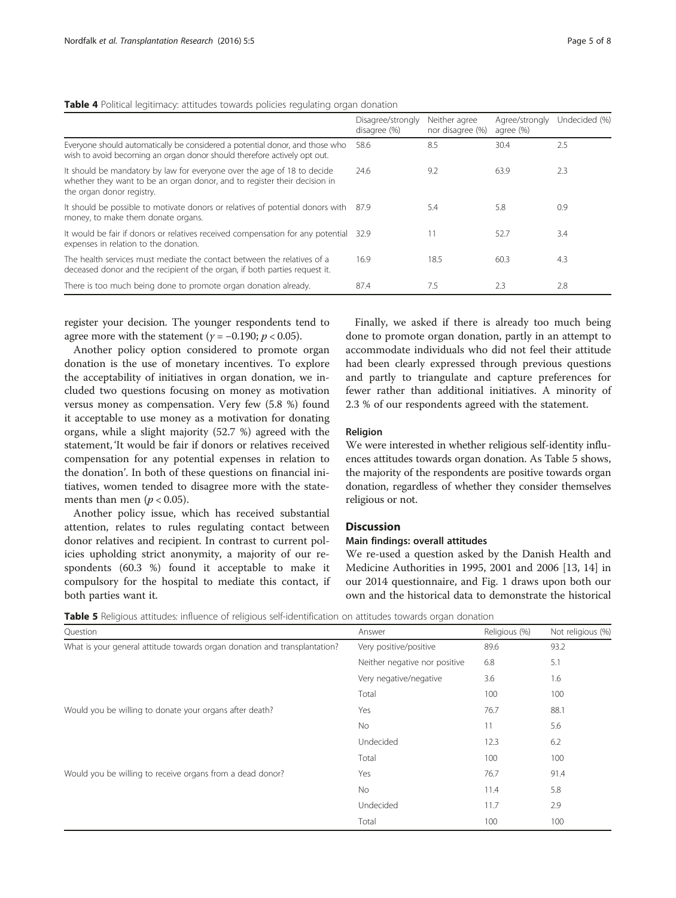<span id="page-4-0"></span>

|                                                                                                                                                                                   | Disagree/strongly<br>disagree (%) | Neither agree<br>nor disagree (%) | Agree/strongly<br>agree (%) | Undecided (%) |
|-----------------------------------------------------------------------------------------------------------------------------------------------------------------------------------|-----------------------------------|-----------------------------------|-----------------------------|---------------|
| Everyone should automatically be considered a potential donor, and those who<br>wish to avoid becoming an organ donor should therefore actively opt out.                          | 58.6                              | 8.5                               | 30.4                        | 2.5           |
| It should be mandatory by law for everyone over the age of 18 to decide<br>whether they want to be an organ donor, and to register their decision in<br>the organ donor registry. | 24.6                              | 9.2                               | 63.9                        | 2.3           |
| It should be possible to motivate donors or relatives of potential donors with 87.9<br>money, to make them donate organs.                                                         |                                   | 5.4                               | 5.8                         | 0.9           |
| It would be fair if donors or relatives received compensation for any potential<br>expenses in relation to the donation.                                                          | 32.9                              | 11                                | 52.7                        | 3.4           |
| The health services must mediate the contact between the relatives of a<br>deceased donor and the recipient of the organ, if both parties request it.                             | 16.9                              | 18.5                              | 60.3                        | 4.3           |
| There is too much being done to promote organ donation already.                                                                                                                   | 87.4                              | 7.5                               | 2.3                         | 2.8           |

register your decision. The younger respondents tend to agree more with the statement ( $\gamma$  = -0.190;  $p$  < 0.05).

Another policy option considered to promote organ donation is the use of monetary incentives. To explore the acceptability of initiatives in organ donation, we included two questions focusing on money as motivation versus money as compensation. Very few (5.8 %) found it acceptable to use money as a motivation for donating organs, while a slight majority (52.7 %) agreed with the statement, 'It would be fair if donors or relatives received compensation for any potential expenses in relation to the donation'. In both of these questions on financial initiatives, women tended to disagree more with the statements than men ( $p < 0.05$ ).

Another policy issue, which has received substantial attention, relates to rules regulating contact between donor relatives and recipient. In contrast to current policies upholding strict anonymity, a majority of our respondents (60.3 %) found it acceptable to make it compulsory for the hospital to mediate this contact, if both parties want it.

Finally, we asked if there is already too much being done to promote organ donation, partly in an attempt to accommodate individuals who did not feel their attitude had been clearly expressed through previous questions and partly to triangulate and capture preferences for fewer rather than additional initiatives. A minority of 2.3 % of our respondents agreed with the statement.

#### Religion

We were interested in whether religious self-identity influences attitudes towards organ donation. As Table 5 shows, the majority of the respondents are positive towards organ donation, regardless of whether they consider themselves religious or not.

#### **Discussion**

#### Main findings: overall attitudes

We re-used a question asked by the Danish Health and Medicine Authorities in 1995, 2001 and 2006 [\[13,](#page-6-0) [14](#page-7-0)] in our 2014 questionnaire, and Fig. [1](#page-5-0) draws upon both our own and the historical data to demonstrate the historical

**Table 5** Religious attitudes: influence of religious self-identification on attitudes towards organ donation

| Question                                                                  | Answer                        | Religious (%) | Not religious (%) |
|---------------------------------------------------------------------------|-------------------------------|---------------|-------------------|
| What is your general attitude towards organ donation and transplantation? | Very positive/positive        |               | 93.2              |
|                                                                           | Neither negative nor positive | 6.8           | 5.1               |
| Very negative/negative                                                    |                               | 3.6           | 1.6               |
|                                                                           | Total                         | 100           | 100               |
| Would you be willing to donate your organs after death?                   | Yes                           | 76.7          | 88.1              |
|                                                                           | No                            | 11            | 5.6               |
|                                                                           | Undecided                     | 12.3          | 6.2               |
|                                                                           | Total                         | 100           | 100               |
| Would you be willing to receive organs from a dead donor?                 | Yes                           | 76.7          | 91.4              |
|                                                                           | No                            | 11.4          | 5.8               |
|                                                                           | Undecided                     | 11.7          | 2.9               |
|                                                                           | Total                         | 100           | 100               |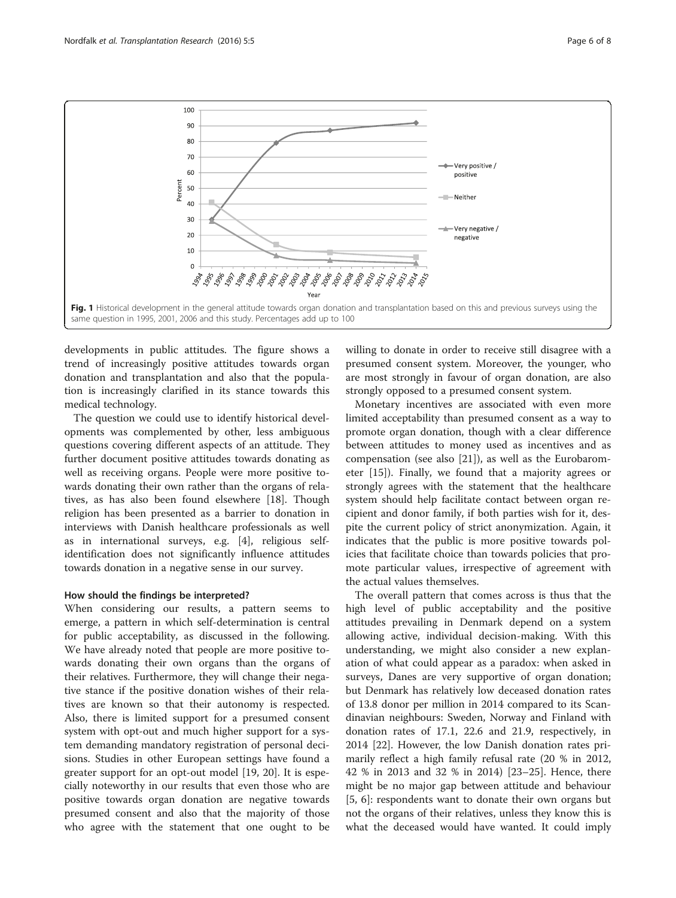

<span id="page-5-0"></span>

developments in public attitudes. The figure shows a trend of increasingly positive attitudes towards organ donation and transplantation and also that the population is increasingly clarified in its stance towards this medical technology.

The question we could use to identify historical developments was complemented by other, less ambiguous questions covering different aspects of an attitude. They further document positive attitudes towards donating as well as receiving organs. People were more positive towards donating their own rather than the organs of relatives, as has also been found elsewhere [[18\]](#page-7-0). Though religion has been presented as a barrier to donation in interviews with Danish healthcare professionals as well as in international surveys, e.g. [[4\]](#page-6-0), religious selfidentification does not significantly influence attitudes towards donation in a negative sense in our survey.

#### How should the findings be interpreted?

When considering our results, a pattern seems to emerge, a pattern in which self-determination is central for public acceptability, as discussed in the following. We have already noted that people are more positive towards donating their own organs than the organs of their relatives. Furthermore, they will change their negative stance if the positive donation wishes of their relatives are known so that their autonomy is respected. Also, there is limited support for a presumed consent system with opt-out and much higher support for a system demanding mandatory registration of personal decisions. Studies in other European settings have found a greater support for an opt-out model [\[19](#page-7-0), [20](#page-7-0)]. It is especially noteworthy in our results that even those who are positive towards organ donation are negative towards presumed consent and also that the majority of those who agree with the statement that one ought to be willing to donate in order to receive still disagree with a presumed consent system. Moreover, the younger, who are most strongly in favour of organ donation, are also strongly opposed to a presumed consent system.

Monetary incentives are associated with even more limited acceptability than presumed consent as a way to promote organ donation, though with a clear difference between attitudes to money used as incentives and as compensation (see also [\[21](#page-7-0)]), as well as the Eurobarometer [\[15](#page-7-0)]). Finally, we found that a majority agrees or strongly agrees with the statement that the healthcare system should help facilitate contact between organ recipient and donor family, if both parties wish for it, despite the current policy of strict anonymization. Again, it indicates that the public is more positive towards policies that facilitate choice than towards policies that promote particular values, irrespective of agreement with the actual values themselves.

The overall pattern that comes across is thus that the high level of public acceptability and the positive attitudes prevailing in Denmark depend on a system allowing active, individual decision-making. With this understanding, we might also consider a new explanation of what could appear as a paradox: when asked in surveys, Danes are very supportive of organ donation; but Denmark has relatively low deceased donation rates of 13.8 donor per million in 2014 compared to its Scandinavian neighbours: Sweden, Norway and Finland with donation rates of 17.1, 22.6 and 21.9, respectively, in 2014 [\[22](#page-7-0)]. However, the low Danish donation rates primarily reflect a high family refusal rate (20 % in 2012, 42 % in 2013 and 32 % in 2014) [\[23](#page-7-0)–[25\]](#page-7-0). Hence, there might be no major gap between attitude and behaviour [[5, 6](#page-6-0)]: respondents want to donate their own organs but not the organs of their relatives, unless they know this is what the deceased would have wanted. It could imply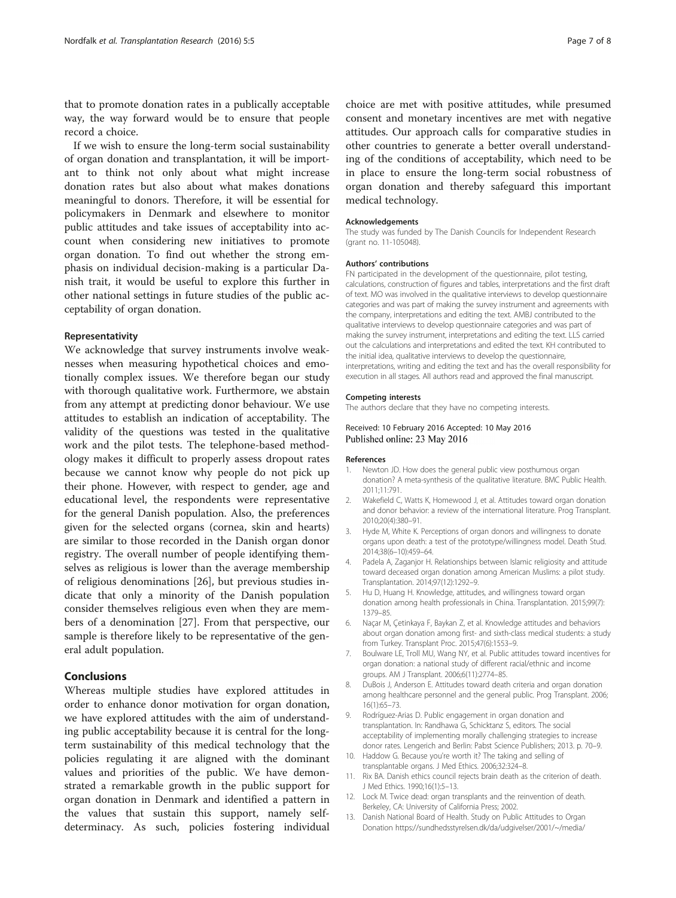<span id="page-6-0"></span>that to promote donation rates in a publically acceptable way, the way forward would be to ensure that people record a choice.

If we wish to ensure the long-term social sustainability of organ donation and transplantation, it will be important to think not only about what might increase donation rates but also about what makes donations meaningful to donors. Therefore, it will be essential for policymakers in Denmark and elsewhere to monitor public attitudes and take issues of acceptability into account when considering new initiatives to promote organ donation. To find out whether the strong emphasis on individual decision-making is a particular Danish trait, it would be useful to explore this further in other national settings in future studies of the public acceptability of organ donation.

#### Representativity

We acknowledge that survey instruments involve weaknesses when measuring hypothetical choices and emotionally complex issues. We therefore began our study with thorough qualitative work. Furthermore, we abstain from any attempt at predicting donor behaviour. We use attitudes to establish an indication of acceptability. The validity of the questions was tested in the qualitative work and the pilot tests. The telephone-based methodology makes it difficult to properly assess dropout rates because we cannot know why people do not pick up their phone. However, with respect to gender, age and educational level, the respondents were representative for the general Danish population. Also, the preferences given for the selected organs (cornea, skin and hearts) are similar to those recorded in the Danish organ donor registry. The overall number of people identifying themselves as religious is lower than the average membership of religious denominations [[26](#page-7-0)], but previous studies indicate that only a minority of the Danish population consider themselves religious even when they are members of a denomination [[27](#page-7-0)]. From that perspective, our sample is therefore likely to be representative of the general adult population.

#### Conclusions

Whereas multiple studies have explored attitudes in order to enhance donor motivation for organ donation, we have explored attitudes with the aim of understanding public acceptability because it is central for the longterm sustainability of this medical technology that the policies regulating it are aligned with the dominant values and priorities of the public. We have demonstrated a remarkable growth in the public support for organ donation in Denmark and identified a pattern in the values that sustain this support, namely selfdeterminacy. As such, policies fostering individual choice are met with positive attitudes, while presumed consent and monetary incentives are met with negative attitudes. Our approach calls for comparative studies in other countries to generate a better overall understanding of the conditions of acceptability, which need to be in place to ensure the long-term social robustness of organ donation and thereby safeguard this important medical technology.

#### Acknowledgements

The study was funded by The Danish Councils for Independent Research (grant no. 11-105048).

#### Authors' contributions

FN participated in the development of the questionnaire, pilot testing, calculations, construction of figures and tables, interpretations and the first draft of text. MO was involved in the qualitative interviews to develop questionnaire categories and was part of making the survey instrument and agreements with the company, interpretations and editing the text. AMBJ contributed to the qualitative interviews to develop questionnaire categories and was part of making the survey instrument, interpretations and editing the text. LLS carried out the calculations and interpretations and edited the text. KH contributed to the initial idea, qualitative interviews to develop the questionnaire, interpretations, writing and editing the text and has the overall responsibility for execution in all stages. All authors read and approved the final manuscript.

#### Competing interests

The authors declare that they have no competing interests.

#### Received: 10 February 2016 Accepted: 10 May 2016 Published online: 23 May 2016

#### References

- 1. Newton JD. How does the general public view posthumous organ donation? A meta-synthesis of the qualitative literature. BMC Public Health. 2011;11:791.
- 2. Wakefield C, Watts K, Homewood J, et al. Attitudes toward organ donation and donor behavior: a review of the international literature. Prog Transplant. 2010;20(4):380–91.
- 3. Hyde M, White K. Perceptions of organ donors and willingness to donate organs upon death: a test of the prototype/willingness model. Death Stud. 2014;38(6–10):459–64.
- 4. Padela A, Zaganjor H. Relationships between Islamic religiosity and attitude toward deceased organ donation among American Muslims: a pilot study. Transplantation. 2014;97(12):1292–9.
- 5. Hu D, Huang H. Knowledge, attitudes, and willingness toward organ donation among health professionals in China. Transplantation. 2015;99(7): 1379–85.
- 6. Naçar M, Çetinkaya F, Baykan Z, et al. Knowledge attitudes and behaviors about organ donation among first- and sixth-class medical students: a study from Turkey. Transplant Proc. 2015;47(6):1553–9.
- 7. Boulware LE, Troll MU, Wang NY, et al. Public attitudes toward incentives for organ donation: a national study of different racial/ethnic and income groups. AM J Transplant. 2006;6(11):2774–85.
- 8. DuBois J, Anderson E. Attitudes toward death criteria and organ donation among healthcare personnel and the general public. Prog Transplant. 2006; 16(1):65–73.
- 9. Rodríguez-Arias D. Public engagement in organ donation and transplantation. In: Randhawa G, Schicktanz S, editors. The social acceptability of implementing morally challenging strategies to increase donor rates. Lengerich and Berlin: Pabst Science Publishers; 2013. p. 70–9.
- 10. Haddow G. Because you're worth it? The taking and selling of transplantable organs. J Med Ethics. 2006;32:324–8.
- 11. Rix BA. Danish ethics council rejects brain death as the criterion of death. J Med Ethics. 1990;16(1):5–13.
- 12. Lock M. Twice dead: organ transplants and the reinvention of death. Berkeley, CA: University of California Press; 2002.
- 13. Danish National Board of Health. Study on Public Attitudes to Organ Donation [https://sundhedsstyrelsen.dk/da/udgivelser/2001/~/media/](https://sundhedsstyrelsen.dk/da/udgivelser/2001/~/media/F499484183B54B5C9FA898C0806E79E6.ashx)